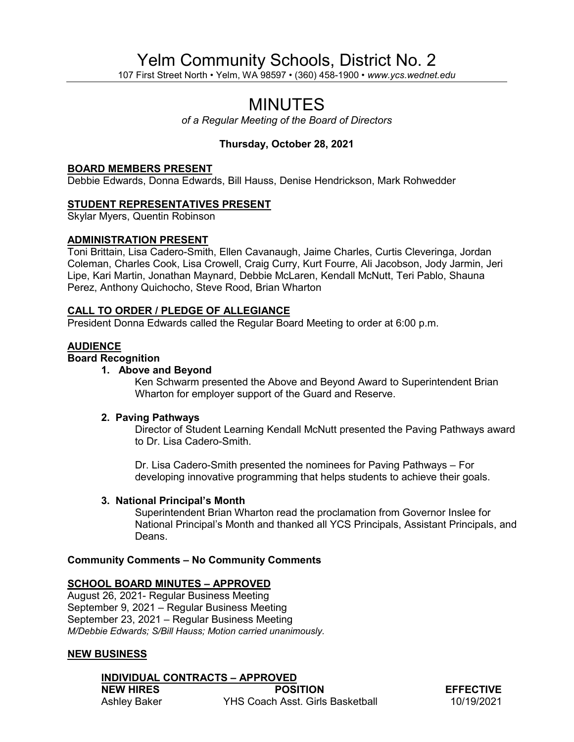# Yelm Community Schools, District No. 2

107 First Street North • Yelm, WA 98597 • (360) 458-1900 • *www.ycs.wednet.edu*

## MINUTES

*of a Regular Meeting of the Board of Directors*

## **Thursday, October 28, 2021**

#### **BOARD MEMBERS PRESENT**

Debbie Edwards, Donna Edwards, Bill Hauss, Denise Hendrickson, Mark Rohwedder

## **STUDENT REPRESENTATIVES PRESENT**

Skylar Myers, Quentin Robinson

## **ADMINISTRATION PRESENT**

Toni Brittain, Lisa Cadero-Smith, Ellen Cavanaugh, Jaime Charles, Curtis Cleveringa, Jordan Coleman, Charles Cook, Lisa Crowell, Craig Curry, Kurt Fourre, Ali Jacobson, Jody Jarmin, Jeri Lipe, Kari Martin, Jonathan Maynard, Debbie McLaren, Kendall McNutt, Teri Pablo, Shauna Perez, Anthony Quichocho, Steve Rood, Brian Wharton

## **CALL TO ORDER / PLEDGE OF ALLEGIANCE**

President Donna Edwards called the Regular Board Meeting to order at 6:00 p.m.

## **AUDIENCE**

## **Board Recognition**

## **1. Above and Beyond**

Ken Schwarm presented the Above and Beyond Award to Superintendent Brian Wharton for employer support of the Guard and Reserve.

## **2. Paving Pathways**

Director of Student Learning Kendall McNutt presented the Paving Pathways award to Dr. Lisa Cadero-Smith.

Dr. Lisa Cadero-Smith presented the nominees for Paving Pathways – For developing innovative programming that helps students to achieve their goals.

## **3. National Principal's Month**

Superintendent Brian Wharton read the proclamation from Governor Inslee for National Principal's Month and thanked all YCS Principals, Assistant Principals, and Deans.

## **Community Comments – No Community Comments**

## **SCHOOL BOARD MINUTES – APPROVED**

August 26, 2021- Regular Business Meeting September 9, 2021 – Regular Business Meeting September 23, 2021 – Regular Business Meeting *M/Debbie Edwards; S/Bill Hauss; Motion carried unanimously.*

## **NEW BUSINESS**

**INDIVIDUAL CONTRACTS – APPROVED NEW HIRES POSITION EFFECTIVE** Ashley Baker **YHS Coach Asst. Girls Basketball** 10/19/2021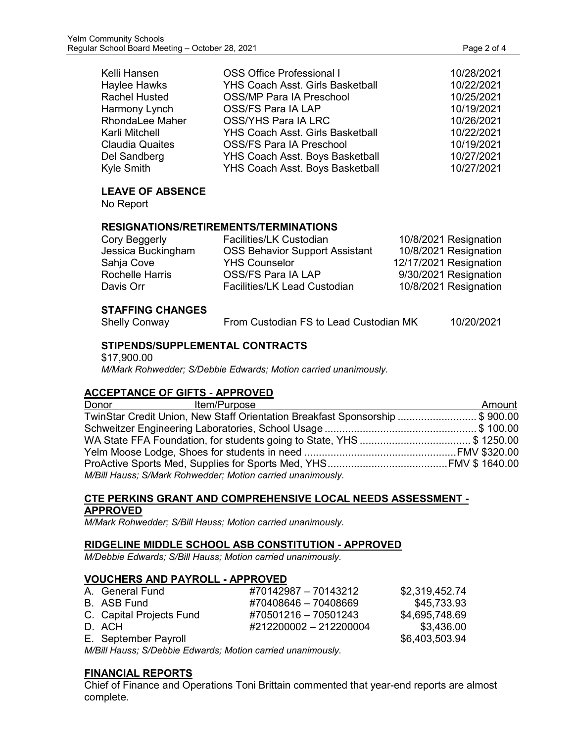| Kelli Hansen           | <b>OSS Office Professional I</b>        | 10/28/2021 |
|------------------------|-----------------------------------------|------------|
| Haylee Hawks           | <b>YHS Coach Asst. Girls Basketball</b> | 10/22/2021 |
| <b>Rachel Husted</b>   | <b>OSS/MP Para IA Preschool</b>         | 10/25/2021 |
| Harmony Lynch          | OSS/FS Para IA LAP                      | 10/19/2021 |
| <b>RhondaLee Maher</b> | OSS/YHS Para IA LRC                     | 10/26/2021 |
| Karli Mitchell         | <b>YHS Coach Asst. Girls Basketball</b> | 10/22/2021 |
| <b>Claudia Quaites</b> | <b>OSS/FS Para IA Preschool</b>         | 10/19/2021 |
| Del Sandberg           | YHS Coach Asst. Boys Basketball         | 10/27/2021 |
| Kyle Smith             | YHS Coach Asst. Boys Basketball         | 10/27/2021 |

## **LEAVE OF ABSENCE**

No Report

## **RESIGNATIONS/RETIREMENTS/TERMINATIONS**

| Cory Beggerly          | <b>Facilities/LK Custodian</b>        | 10/8/2021 Resignation  |
|------------------------|---------------------------------------|------------------------|
| Jessica Buckingham     | <b>OSS Behavior Support Assistant</b> | 10/8/2021 Resignation  |
| Sahja Cove             | <b>YHS Counselor</b>                  | 12/17/2021 Resignation |
| <b>Rochelle Harris</b> | OSS/FS Para IA LAP                    | 9/30/2021 Resignation  |
| Davis Orr              | <b>Facilities/LK Lead Custodian</b>   | 10/8/2021 Resignation  |
|                        |                                       |                        |

## **STAFFING CHANGES**

Shelly Conway From Custodian FS to Lead Custodian MK 10/20/2021

## **STIPENDS/SUPPLEMENTAL CONTRACTS**

\$17,900.00 *M/Mark Rohwedder; S/Debbie Edwards; Motion carried unanimously.*

## **ACCEPTANCE OF GIFTS - APPROVED**

| Donor | Item/Purpose                                                                 | Amount |
|-------|------------------------------------------------------------------------------|--------|
|       | TwinStar Credit Union, New Staff Orientation Breakfast Sponsorship \$ 900.00 |        |
|       |                                                                              |        |
|       |                                                                              |        |
|       |                                                                              |        |
|       |                                                                              |        |
|       | M/Bill Hauss; S/Mark Rohwedder; Motion carried unanimously.                  |        |

## **CTE PERKINS GRANT AND COMPREHENSIVE LOCAL NEEDS ASSESSMENT - APPROVED**

*M/Mark Rohwedder; S/Bill Hauss; Motion carried unanimously.*

## **RIDGELINE MIDDLE SCHOOL ASB CONSTITUTION - APPROVED**

*M/Debbie Edwards; S/Bill Hauss; Motion carried unanimously.*

## **VOUCHERS AND PAYROLL - APPROVED**

| A. General Fund          | #70142987 - 70143212   | \$2,319,452.74 |
|--------------------------|------------------------|----------------|
| B. ASB Fund              | #70408646 - 70408669   | \$45,733.93    |
| C. Capital Projects Fund | #70501216 - 70501243   | \$4,695,748.69 |
| D. ACH                   | #212200002 - 212200004 | \$3,436.00     |
| E. September Payroll     |                        | \$6,403,503.94 |

*M/Bill Hauss; S/Debbie Edwards; Motion carried unanimously.*

## **FINANCIAL REPORTS**

Chief of Finance and Operations Toni Brittain commented that year-end reports are almost complete.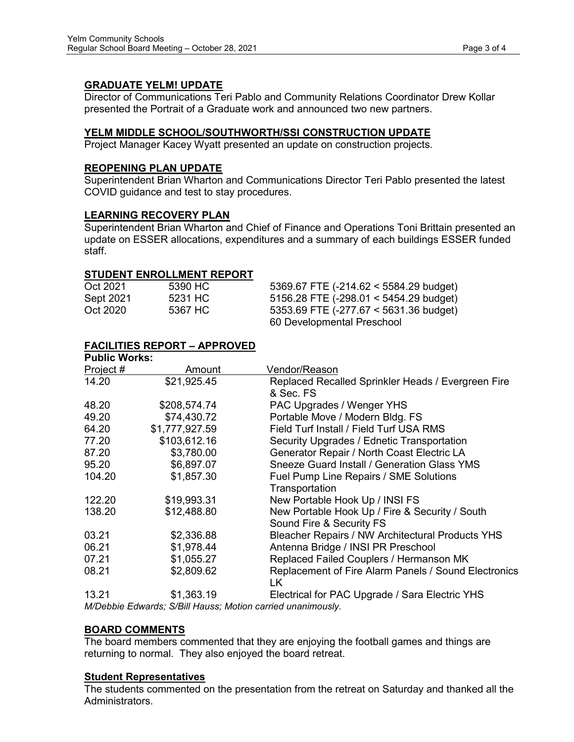## **GRADUATE YELM! UPDATE**

Director of Communications Teri Pablo and Community Relations Coordinator Drew Kollar presented the Portrait of a Graduate work and announced two new partners.

## **YELM MIDDLE SCHOOL/SOUTHWORTH/SSI CONSTRUCTION UPDATE**

Project Manager Kacey Wyatt presented an update on construction projects.

## **REOPENING PLAN UPDATE**

Superintendent Brian Wharton and Communications Director Teri Pablo presented the latest COVID guidance and test to stay procedures.

## **LEARNING RECOVERY PLAN**

Superintendent Brian Wharton and Chief of Finance and Operations Toni Brittain presented an update on ESSER allocations, expenditures and a summary of each buildings ESSER funded staff.

## **STUDENT ENROLLMENT REPORT**

| Oct 2021  | 5390 HC | 5369.67 FTE (-214.62 < 5584.29 budget)   |
|-----------|---------|------------------------------------------|
| Sept 2021 | 5231 HC | 5156.28 FTE (-298.01 < 5454.29 budget)   |
| Oct 2020  | 5367 HC | 5353.69 FTE $(-277.67 < 5631.36$ budget) |
|           |         | 60 Developmental Preschool               |

## **FACILITIES REPORT – APPROVED**

| <b>Public Works:</b> |                                                  |                                                      |
|----------------------|--------------------------------------------------|------------------------------------------------------|
| Project #            | Amount                                           | Vendor/Reason                                        |
| 14.20                | \$21,925.45                                      | Replaced Recalled Sprinkler Heads / Evergreen Fire   |
|                      |                                                  | & Sec. FS                                            |
| 48.20                | \$208,574.74                                     | PAC Upgrades / Wenger YHS                            |
| 49.20                | \$74,430.72                                      | Portable Move / Modern Bldg. FS                      |
| 64.20                | \$1,777,927.59                                   | Field Turf Install / Field Turf USA RMS              |
| 77.20                | \$103,612.16                                     | Security Upgrades / Ednetic Transportation           |
| 87.20                | \$3,780.00                                       | Generator Repair / North Coast Electric LA           |
| 95.20                | \$6,897.07                                       | <b>Sneeze Guard Install / Generation Glass YMS</b>   |
| 104.20               | \$1,857.30                                       | Fuel Pump Line Repairs / SME Solutions               |
|                      |                                                  | Transportation                                       |
| 122.20               | \$19,993.31                                      | New Portable Hook Up / INSI FS                       |
| 138.20               | \$12,488.80                                      | New Portable Hook Up / Fire & Security / South       |
|                      |                                                  | Sound Fire & Security FS                             |
| 03.21                | \$2,336.88                                       | Bleacher Repairs / NW Architectural Products YHS     |
| 06.21                | \$1,978.44                                       | Antenna Bridge / INSI PR Preschool                   |
| 07.21                | \$1,055.27                                       | Replaced Failed Couplers / Hermanson MK              |
| 08.21                | \$2,809.62                                       | Replacement of Fire Alarm Panels / Sound Electronics |
|                      |                                                  | LK.                                                  |
| 13.21                | \$1,363.19                                       | Electrical for PAC Upgrade / Sara Electric YHS       |
|                      | $\sim$ $\sim$ $\sim$ $\sim$ $\sim$ $\sim$ $\sim$ |                                                      |

*M/Debbie Edwards; S/Bill Hauss; Motion carried unanimously.*

## **BOARD COMMENTS**

The board members commented that they are enjoying the football games and things are returning to normal. They also enjoyed the board retreat.

## **Student Representatives**

The students commented on the presentation from the retreat on Saturday and thanked all the Administrators.